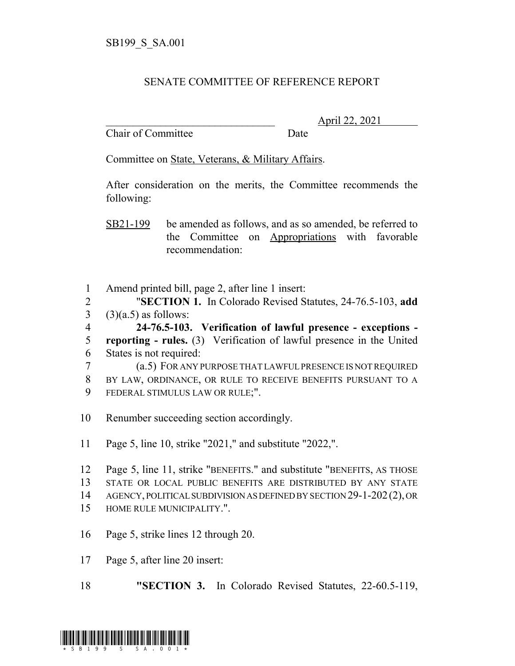## SENATE COMMITTEE OF REFERENCE REPORT

Chair of Committee Date

\_\_\_\_\_\_\_\_\_\_\_\_\_\_\_\_\_\_\_\_\_\_\_\_\_\_\_\_\_\_\_ April 22, 2021

Committee on State, Veterans, & Military Affairs.

After consideration on the merits, the Committee recommends the following:

SB21-199 be amended as follows, and as so amended, be referred to the Committee on Appropriations with favorable recommendation:

 Amend printed bill, page 2, after line 1 insert: "**SECTION 1.** In Colorado Revised Statutes, 24-76.5-103, **add** (3)(a.5) as follows:

 **24-76.5-103. Verification of lawful presence - exceptions - reporting - rules.** (3) Verification of lawful presence in the United States is not required:

 (a.5) FOR ANY PURPOSE THAT LAWFUL PRESENCE IS NOT REQUIRED BY LAW, ORDINANCE, OR RULE TO RECEIVE BENEFITS PURSUANT TO A FEDERAL STIMULUS LAW OR RULE;".

Renumber succeeding section accordingly.

Page 5, line 10, strike "2021," and substitute "2022,".

 Page 5, line 11, strike "BENEFITS." and substitute "BENEFITS, AS THOSE STATE OR LOCAL PUBLIC BENEFITS ARE DISTRIBUTED BY ANY STATE AGENCY, POLITICAL SUBDIVISION AS DEFINED BY SECTION 29-1-202(2), OR HOME RULE MUNICIPALITY.".

- Page 5, strike lines 12 through 20.
- Page 5, after line 20 insert:

**"SECTION 3.** In Colorado Revised Statutes, 22-60.5-119,

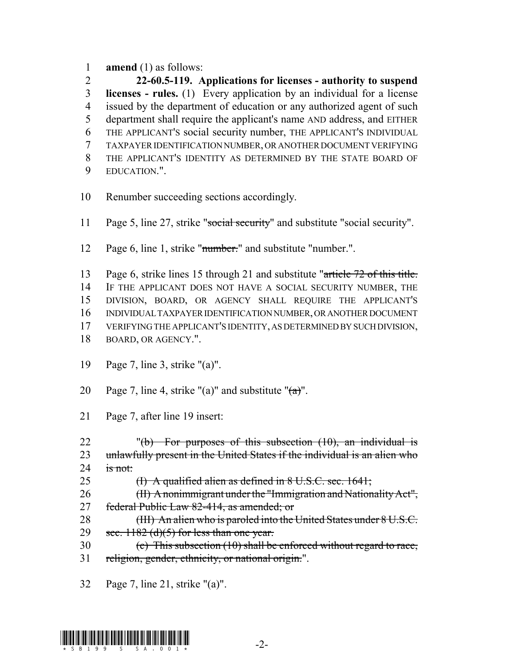**amend** (1) as follows:

 **22-60.5-119. Applications for licenses - authority to suspend licenses - rules.** (1) Every application by an individual for a license issued by the department of education or any authorized agent of such department shall require the applicant's name AND address, and EITHER THE APPLICANT'S social security number, THE APPLICANT'S INDIVIDUAL TAXPAYER IDENTIFICATION NUMBER, OR ANOTHER DOCUMENT VERIFYING THE APPLICANT'S IDENTITY AS DETERMINED BY THE STATE BOARD OF EDUCATION.".

- Renumber succeeding sections accordingly.
- 11 Page 5, line 27, strike "social security" and substitute "social security".
- 12 Page 6, line 1, strike "<del>number.</del>" and substitute "number.".
- 13 Page 6, strike lines 15 through 21 and substitute "article 72 of this title. IF THE APPLICANT DOES NOT HAVE A SOCIAL SECURITY NUMBER, THE DIVISION, BOARD, OR AGENCY SHALL REQUIRE THE APPLICANT'S INDIVIDUAL TAXPAYER IDENTIFICATION NUMBER, OR ANOTHER DOCUMENT VERIFYING THE APPLICANT'S IDENTITY, AS DETERMINED BY SUCH DIVISION,
- BOARD, OR AGENCY.".
- Page 7, line 3, strike "(a)".
- 20 Page 7, line 4, strike "(a)" and substitute " $\left(\frac{a}{b}\right)$ ".
- Page 7, after line 19 insert:
- 22 "(b) For purposes of this subsection  $(10)$ , an individual is 23 unlawfully present in the United States if the individual is an alien who 24 is not:
- (I) A qualified alien as defined in 8 U.S.C. sec. 1641;

 (II) A nonimmigrant under the "Immigration and Nationality Act", 27 federal Public Law 82-414, as amended; or

- 28 (III) An alien who is paroled into the United States under 8 U.S.C. 29 sec. (d)(5) for less than one year.
- (c) This subsection (10) shall be enforced without regard to race, 31 religion, gender, ethnicity, or national origin.".
- Page 7, line 21, strike "(a)".

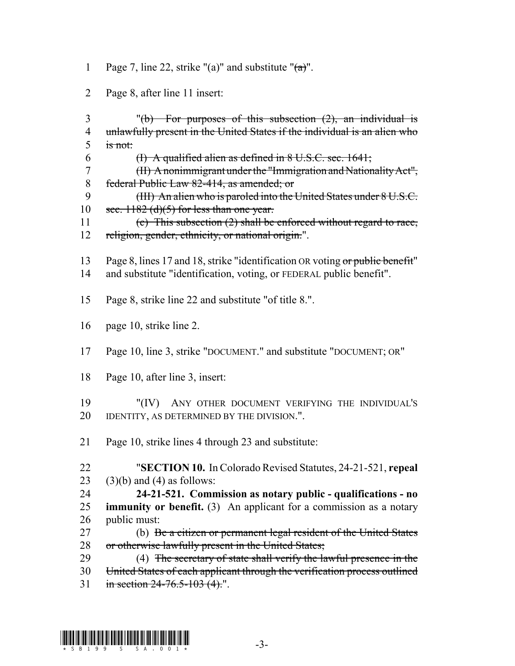- 1 Page 7, line 22, strike "(a)" and substitute " $\left(\frac{a}{b}\right)$ ".
- 2 Page 8, after line 11 insert:
- 3 "(b) For purposes of this subsection  $(2)$ , an individual is 4 unlawfully present in the United States if the individual is an alien who  $5$  is not:
- 6  $\qquad$  (I) A qualified alien as defined in 8 U.S.C. sec. 1641;
- 7 (II) A nonimmigrant under the "Immigration and Nationality Act", 8 federal Public Law 82-414, as amended; or
- 9 (III) An alien who is paroled into the United States under 8 U.S.C. 10 sec.  $1182$  (d)(5) for less than one year.
- 11 (c) This subsection (2) shall be enforced without regard to race, 12 religion, gender, ethnicity, or national origin.".
- 13 Page 8, lines 17 and 18, strike "identification OR voting or public benefit" 14 and substitute "identification, voting, or FEDERAL public benefit".
- 15 Page 8, strike line 22 and substitute "of title 8.".
- 16 page 10, strike line 2.
- 17 Page 10, line 3, strike "DOCUMENT." and substitute "DOCUMENT; OR"
- 18 Page 10, after line 3, insert:
- 19 "(IV) ANY OTHER DOCUMENT VERIFYING THE INDIVIDUAL'S 20 IDENTITY, AS DETERMINED BY THE DIVISION.".
- 21 Page 10, strike lines 4 through 23 and substitute:
- 22 "**SECTION 10.** In Colorado Revised Statutes, 24-21-521, **repeal** 23 (3)(b) and (4) as follows:
- 24 **24-21-521. Commission as notary public qualifications no** 25 **immunity or benefit.** (3) An applicant for a commission as a notary 26 public must:
- 27 (b) Be a citizen or permanent legal resident of the United States 28 or otherwise lawfully present in the United States;
- 29 (4) The secretary of state shall verify the lawful presence in the 30 United States of each applicant through the verification process outlined
- 31 in section 24-76.5-103 (4).".